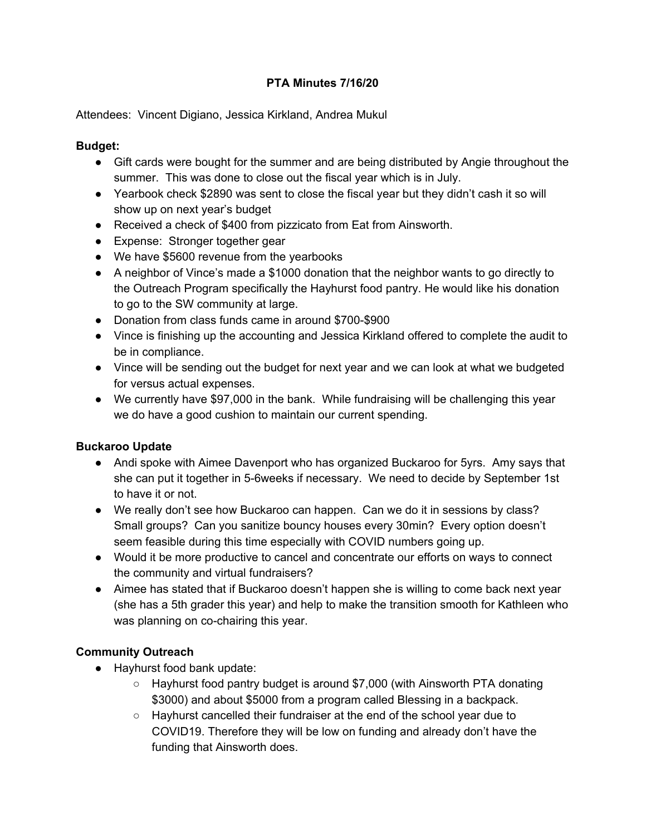## **PTA Minutes 7/16/20**

Attendees: Vincent Digiano, Jessica Kirkland, Andrea Mukul

## **Budget:**

- Gift cards were bought for the summer and are being distributed by Angie throughout the summer. This was done to close out the fiscal year which is in July.
- Yearbook check \$2890 was sent to close the fiscal year but they didn't cash it so will show up on next year's budget
- Received a check of \$400 from pizzicato from Eat from Ainsworth.
- Expense: Stronger together gear
- We have \$5600 revenue from the yearbooks
- A neighbor of Vince's made a \$1000 donation that the neighbor wants to go directly to the Outreach Program specifically the Hayhurst food pantry. He would like his donation to go to the SW community at large.
- Donation from class funds came in around \$700-\$900
- Vince is finishing up the accounting and Jessica Kirkland offered to complete the audit to be in compliance.
- Vince will be sending out the budget for next year and we can look at what we budgeted for versus actual expenses.
- We currently have \$97,000 in the bank. While fundraising will be challenging this year we do have a good cushion to maintain our current spending.

### **Buckaroo Update**

- Andi spoke with Aimee Davenport who has organized Buckaroo for 5yrs. Amy says that she can put it together in 5-6weeks if necessary. We need to decide by September 1st to have it or not.
- We really don't see how Buckaroo can happen. Can we do it in sessions by class? Small groups? Can you sanitize bouncy houses every 30min? Every option doesn't seem feasible during this time especially with COVID numbers going up.
- Would it be more productive to cancel and concentrate our efforts on ways to connect the community and virtual fundraisers?
- Aimee has stated that if Buckaroo doesn't happen she is willing to come back next year (she has a 5th grader this year) and help to make the transition smooth for Kathleen who was planning on co-chairing this year.

# **Community Outreach**

- Hayhurst food bank update:
	- Hayhurst food pantry budget is around \$7,000 (with Ainsworth PTA donating \$3000) and about \$5000 from a program called Blessing in a backpack.
	- Hayhurst cancelled their fundraiser at the end of the school year due to COVID19. Therefore they will be low on funding and already don't have the funding that Ainsworth does.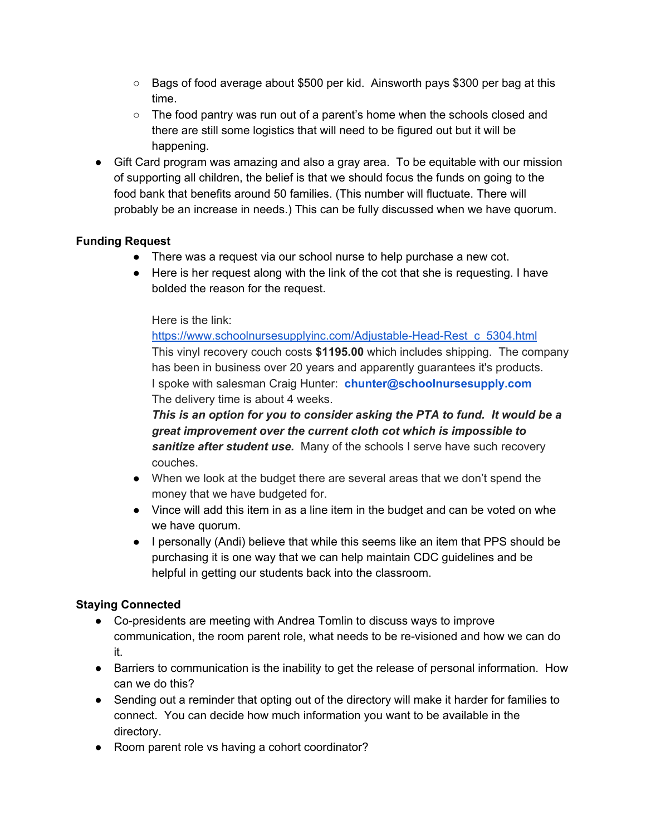- $\circ$  Bags of food average about \$500 per kid. Ainsworth pays \$300 per bag at this time.
- The food pantry was run out of a parent's home when the schools closed and there are still some logistics that will need to be figured out but it will be happening.
- Gift Card program was amazing and also a gray area. To be equitable with our mission of supporting all children, the belief is that we should focus the funds on going to the food bank that benefits around 50 families. (This number will fluctuate. There will probably be an increase in needs.) This can be fully discussed when we have quorum.

## **Funding Request**

- There was a request via our school nurse to help purchase a new cot.
- Here is her request along with the link of the cot that she is requesting. I have bolded the reason for the request.

### Here is the link:

[https://www.schoolnursesupplyinc.com/Adjustable-Head-Rest\\_c\\_5304.html](https://www.schoolnursesupplyinc.com/Adjustable-Head-Rest_c_5304.html) This vinyl recovery couch costs **\$1195.00** which includes shipping. The company has been in business over 20 years and apparently guarantees it's products. I spoke with salesman Craig Hunter: **chunter@schoolnursesupply.com** The delivery time is about 4 weeks.

*This is an option for you to consider asking the PTA to fund. It would be a great improvement over the current cloth cot which is impossible to sanitize after student use.* Many of the schools I serve have such recovery couches.

- When we look at the budget there are several areas that we don't spend the money that we have budgeted for.
- Vince will add this item in as a line item in the budget and can be voted on whe we have quorum.
- I personally (Andi) believe that while this seems like an item that PPS should be purchasing it is one way that we can help maintain CDC guidelines and be helpful in getting our students back into the classroom.

# **Staying Connected**

- Co-presidents are meeting with Andrea Tomlin to discuss ways to improve communication, the room parent role, what needs to be re-visioned and how we can do it.
- Barriers to communication is the inability to get the release of personal information. How can we do this?
- Sending out a reminder that opting out of the directory will make it harder for families to connect. You can decide how much information you want to be available in the directory.
- Room parent role vs having a cohort coordinator?